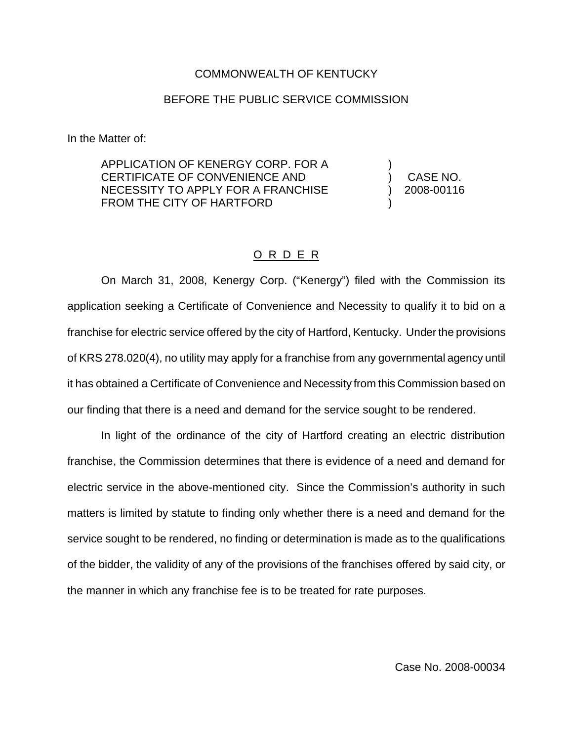## COMMONWEALTH OF KENTUCKY

## BEFORE THE PUBLIC SERVICE COMMISSION

In the Matter of:

APPLICATION OF KENERGY CORP. FOR A CERTIFICATE OF CONVENIENCE AND NECESSITY TO APPLY FOR A FRANCHISE FROM THE CITY OF HARTFORD

) ) CASE NO. ) 2008-00116 )

## O R D E R

On March 31, 2008, Kenergy Corp. ("Kenergy") filed with the Commission its application seeking a Certificate of Convenience and Necessity to qualify it to bid on a franchise for electric service offered by the city of Hartford, Kentucky. Under the provisions of KRS 278.020(4), no utility may apply for a franchise from any governmental agency until it has obtained a Certificate of Convenience and Necessity from this Commission based on our finding that there is a need and demand for the service sought to be rendered.

In light of the ordinance of the city of Hartford creating an electric distribution franchise, the Commission determines that there is evidence of a need and demand for electric service in the above-mentioned city. Since the Commission's authority in such matters is limited by statute to finding only whether there is a need and demand for the service sought to be rendered, no finding or determination is made as to the qualifications of the bidder, the validity of any of the provisions of the franchises offered by said city, or the manner in which any franchise fee is to be treated for rate purposes.